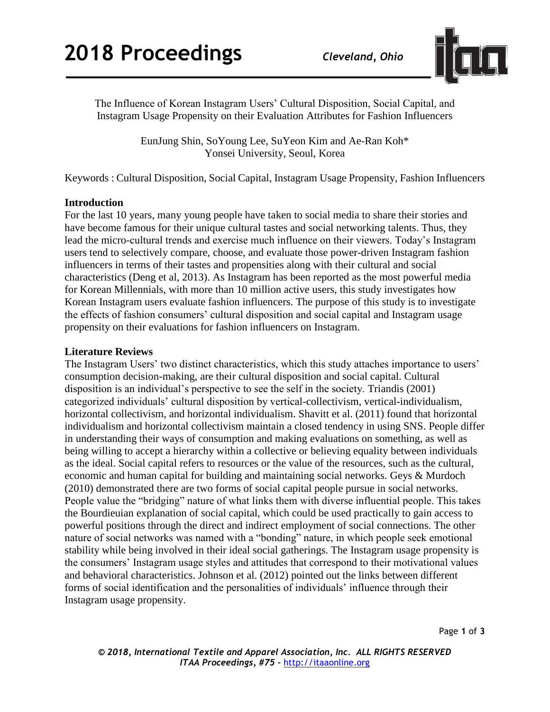

The Influence of Korean Instagram Users' Cultural Disposition, Social Capital, and Instagram Usage Propensity on their Evaluation Attributes for Fashion Influencers

> EunJung Shin, SoYoung Lee, SuYeon Kim and Ae-Ran Koh\* Yonsei University, Seoul, Korea

Keywords : Cultural Disposition, Social Capital, Instagram Usage Propensity, Fashion Influencers

## **Introduction**

For the last 10 years, many young people have taken to social media to share their stories and have become famous for their unique cultural tastes and social networking talents. Thus, they lead the micro-cultural trends and exercise much influence on their viewers. Today's Instagram users tend to selectively compare, choose, and evaluate those power-driven Instagram fashion influencers in terms of their tastes and propensities along with their cultural and social characteristics (Deng et al, 2013). As Instagram has been reported as the most powerful media for Korean Millennials, with more than 10 million active users, this study investigates how Korean Instagram users evaluate fashion influencers. The purpose of this study is to investigate the effects of fashion consumers' cultural disposition and social capital and Instagram usage propensity on their evaluations for fashion influencers on Instagram.

#### **Literature Reviews**

The Instagram Users' two distinct characteristics, which this study attaches importance to users' consumption decision-making, are their cultural disposition and social capital. Cultural disposition is an individual's perspective to see the self in the society. Triandis (2001) categorized individuals' cultural disposition by vertical-collectivism, vertical-individualism, horizontal collectivism, and horizontal individualism. Shavitt et al. (2011) found that horizontal individualism and horizontal collectivism maintain a closed tendency in using SNS. People differ in understanding their ways of consumption and making evaluations on something, as well as being willing to accept a hierarchy within a collective or believing equality between individuals as the ideal. Social capital refers to resources or the value of the resources, such as the cultural, economic and human capital for building and maintaining social networks. Geys & Murdoch (2010) demonstrated there are two forms of social capital people pursue in social networks. People value the "bridging" nature of what links them with diverse influential people. This takes the Bourdieuian explanation of social capital, which could be used practically to gain access to powerful positions through the direct and indirect employment of social connections. The other nature of social networks was named with a "bonding" nature, in which people seek emotional stability while being involved in their ideal social gatherings. The Instagram usage propensity is the consumers' Instagram usage styles and attitudes that correspond to their motivational values and behavioral characteristics. Johnson et al. (2012) pointed out the links between different forms of social identification and the personalities of individuals' influence through their Instagram usage propensity.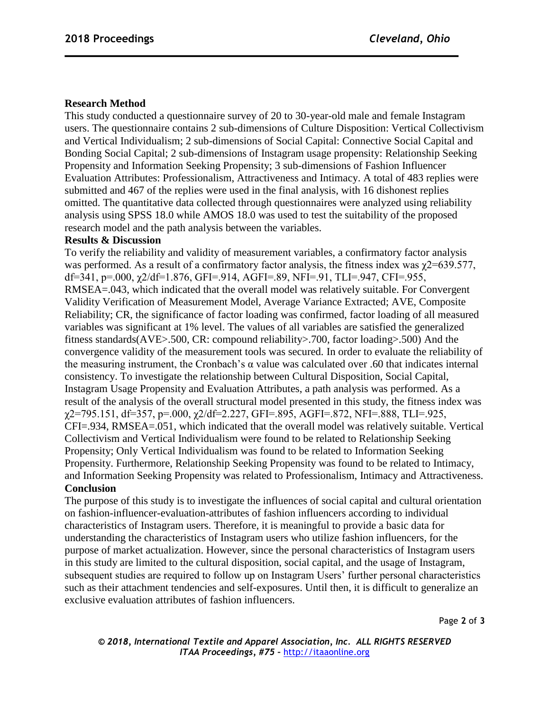# **Research Method**

This study conducted a questionnaire survey of 20 to 30-year-old male and female Instagram users. The questionnaire contains 2 sub-dimensions of Culture Disposition: Vertical Collectivism and Vertical Individualism; 2 sub-dimensions of Social Capital: Connective Social Capital and Bonding Social Capital; 2 sub-dimensions of Instagram usage propensity: Relationship Seeking Propensity and Information Seeking Propensity; 3 sub-dimensions of Fashion Influencer Evaluation Attributes: Professionalism, Attractiveness and Intimacy. A total of 483 replies were submitted and 467 of the replies were used in the final analysis, with 16 dishonest replies omitted. The quantitative data collected through questionnaires were analyzed using reliability analysis using SPSS 18.0 while AMOS 18.0 was used to test the suitability of the proposed research model and the path analysis between the variables.

### **Results & Discussion**

To verify the reliability and validity of measurement variables, a confirmatory factor analysis was performed. As a result of a confirmatory factor analysis, the fitness index was  $\gamma$ 2=639.577, df=341, p=.000,  $\chi$ 2/df=1.876, GFI=.914, AGFI=.89, NFI=.91, TLI=.947, CFI=.955, RMSEA=.043, which indicated that the overall model was relatively suitable. For Convergent Validity Verification of Measurement Model, Average Variance Extracted; AVE, Composite Reliability; CR, the significance of factor loading was confirmed, factor loading of all measured variables was significant at 1% level. The values of all variables are satisfied the generalized fitness standards(AVE>.500, CR: compound reliability>.700, factor loading>.500) And the convergence validity of the measurement tools was secured. In order to evaluate the reliability of the measuring instrument, the Cronbach's  $\alpha$  value was calculated over .60 that indicates internal consistency. To investigate the relationship between Cultural Disposition, Social Capital, Instagram Usage Propensity and Evaluation Attributes, a path analysis was performed. As a result of the analysis of the overall structural model presented in this study, the fitness index was  $\chi$ 2=795.151, df=357, p=.000,  $\chi$ 2/df=2.227, GFI=.895, AGFI=.872, NFI=.888, TLI=.925, CFI=.934, RMSEA=.051, which indicated that the overall model was relatively suitable. Vertical Collectivism and Vertical Individualism were found to be related to Relationship Seeking Propensity; Only Vertical Individualism was found to be related to Information Seeking Propensity. Furthermore, Relationship Seeking Propensity was found to be related to Intimacy, and Information Seeking Propensity was related to Professionalism, Intimacy and Attractiveness. **Conclusion**

The purpose of this study is to investigate the influences of social capital and cultural orientation on fashion-influencer-evaluation-attributes of fashion influencers according to individual characteristics of Instagram users. Therefore, it is meaningful to provide a basic data for understanding the characteristics of Instagram users who utilize fashion influencers, for the purpose of market actualization. However, since the personal characteristics of Instagram users in this study are limited to the cultural disposition, social capital, and the usage of Instagram, subsequent studies are required to follow up on Instagram Users' further personal characteristics such as their attachment tendencies and self-exposures. Until then, it is difficult to generalize an exclusive evaluation attributes of fashion influencers.

Page **2** of **3**

*© 2018, International Textile and Apparel Association, Inc. ALL RIGHTS RESERVED ITAA Proceedings, #75 –* [http://itaaonline.org](http://itaaonline.org/)